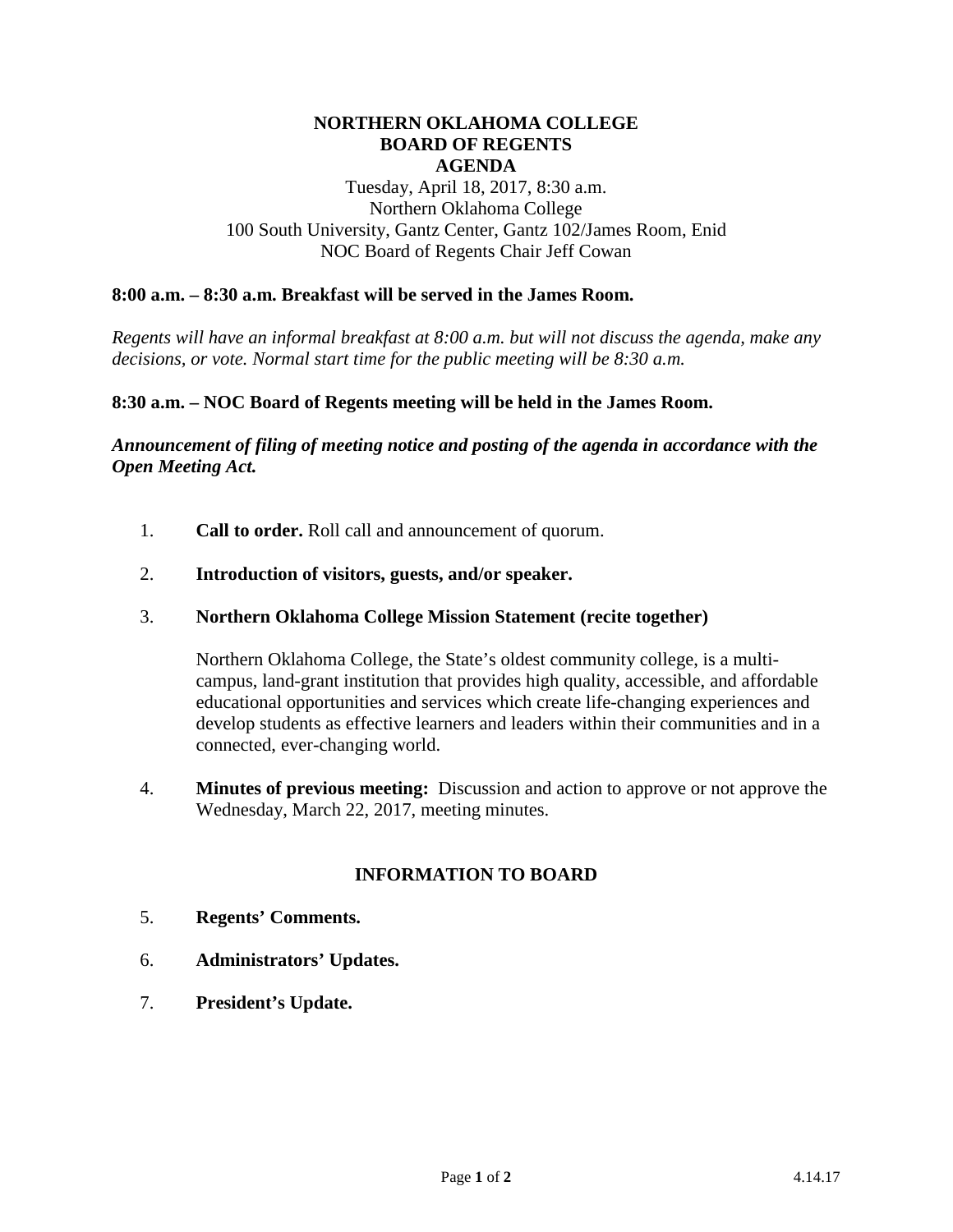## **NORTHERN OKLAHOMA COLLEGE BOARD OF REGENTS AGENDA**

Tuesday, April 18, 2017, 8:30 a.m. Northern Oklahoma College 100 South University, Gantz Center, Gantz 102/James Room, Enid NOC Board of Regents Chair Jeff Cowan

## **8:00 a.m. – 8:30 a.m. Breakfast will be served in the James Room.**

*Regents will have an informal breakfast at 8:00 a.m. but will not discuss the agenda, make any decisions, or vote. Normal start time for the public meeting will be 8:30 a.m.*

#### **8:30 a.m. – NOC Board of Regents meeting will be held in the James Room.**

*Announcement of filing of meeting notice and posting of the agenda in accordance with the Open Meeting Act.*

1. **Call to order.** Roll call and announcement of quorum.

## 2. **Introduction of visitors, guests, and/or speaker.**

#### 3. **Northern Oklahoma College Mission Statement (recite together)**

Northern Oklahoma College, the State's oldest community college, is a multicampus, land-grant institution that provides high quality, accessible, and affordable educational opportunities and services which create life-changing experiences and develop students as effective learners and leaders within their communities and in a connected, ever-changing world.

4. **Minutes of previous meeting:** Discussion and action to approve or not approve the Wednesday, March 22, 2017, meeting minutes.

## **INFORMATION TO BOARD**

- 5. **Regents' Comments.**
- 6. **Administrators' Updates.**
- 7. **President's Update.**